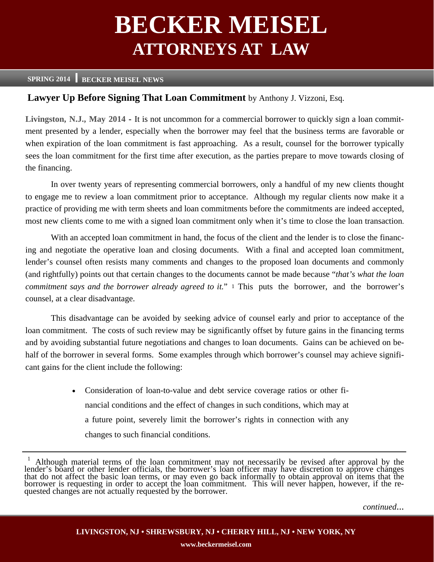# **BECKER MEISEL ATTORNEYS AT LAW**

#### **SPRING 2014 BECKER MEISEL NEWS**

#### **Lawyer Up Before Signing That Loan Commitment** by Anthony J. Vizzoni, Esq.

**Livingston, N.J., May 2014 -** It is not uncommon for a commercial borrower to quickly sign a loan commitment presented by a lender, especially when the borrower may feel that the business terms are favorable or when expiration of the loan commitment is fast approaching. As a result, counsel for the borrower typically sees the loan commitment for the first time after execution, as the parties prepare to move towards closing of the financing.

In over twenty years of representing commercial borrowers, only a handful of my new clients thought to engage me to review a loan commitment prior to acceptance. Although my regular clients now make it a practice of providing me with term sheets and loan commitments before the commitments are indeed accepted, most new clients come to me with a signed loan commitment only when it's time to close the loan transaction.

With an accepted loan commitment in hand, the focus of the client and the lender is to close the financing and negotiate the operative loan and closing documents. With a final and accepted loan commitment, lender's counsel often resists many comments and changes to the proposed loan documents and commonly (and rightfully) points out that certain changes to the documents cannot be made because "*that's what the loan*  commitment says and the borrower already agreed to it." 1 This puts the borrower, and the borrower's counsel, at a clear disadvantage.

This disadvantage can be avoided by seeking advice of counsel early and prior to acceptance of the loan commitment. The costs of such review may be significantly offset by future gains in the financing terms and by avoiding substantial future negotiations and changes to loan documents. Gains can be achieved on behalf of the borrower in several forms. Some examples through which borrower's counsel may achieve significant gains for the client include the following:

> • Consideration of loan-to-value and debt service coverage ratios or other financial conditions and the effect of changes in such conditions, which may at a future point, severely limit the borrower's rights in connection with any changes to such financial conditions.

<sup>&</sup>lt;sup>1</sup> Although material terms of the loan commitment may not necessarily be revised after approval by the lender's board or other lender officials, the borrower's loan officer may have discretion to approve changes that do n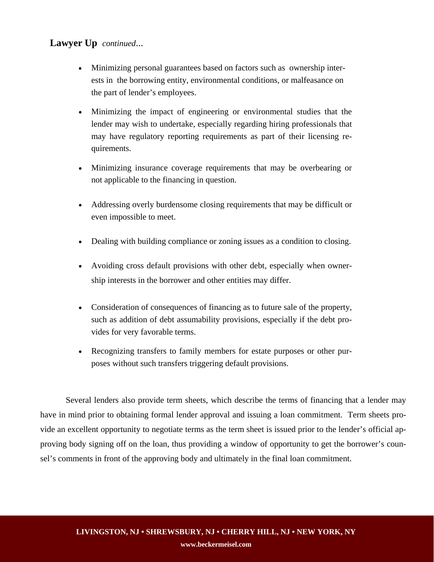## **Lawyer Up** *continued*...

- Minimizing personal guarantees based on factors such as ownership interests in the borrowing entity, environmental conditions, or malfeasance on the part of lender's employees.
- Minimizing the impact of engineering or environmental studies that the lender may wish to undertake, especially regarding hiring professionals that may have regulatory reporting requirements as part of their licensing requirements.
- Minimizing insurance coverage requirements that may be overbearing or not applicable to the financing in question.
- Addressing overly burdensome closing requirements that may be difficult or even impossible to meet.
- Dealing with building compliance or zoning issues as a condition to closing.
- Avoiding cross default provisions with other debt, especially when ownership interests in the borrower and other entities may differ.
- Consideration of consequences of financing as to future sale of the property, such as addition of debt assumability provisions, especially if the debt provides for very favorable terms.
- Recognizing transfers to family members for estate purposes or other purposes without such transfers triggering default provisions.

Several lenders also provide term sheets, which describe the terms of financing that a lender may have in mind prior to obtaining formal lender approval and issuing a loan commitment. Term sheets provide an excellent opportunity to negotiate terms as the term sheet is issued prior to the lender's official approving body signing off on the loan, thus providing a window of opportunity to get the borrower's counsel's comments in front of the approving body and ultimately in the final loan commitment.

**www.beckermeisel.com**